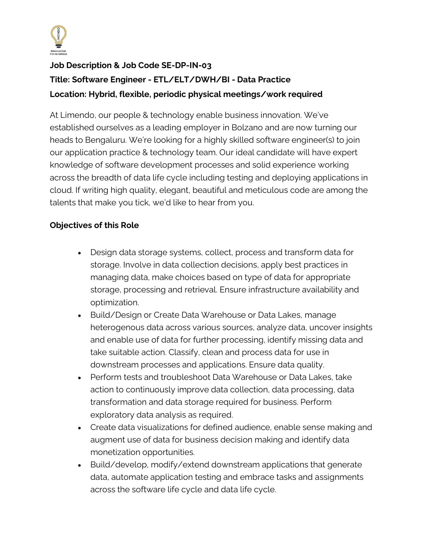

# **Job Description & Job Code SE-DP-IN-03 Title: Software Engineer - ETL/ELT/DWH/BI - Data Practice Location: Hybrid, flexible, periodic physical meetings/work required**

At Limendo, our people & technology enable business innovation. We've established ourselves as a leading employer in Bolzano and are now turning our heads to Bengaluru. We're looking for a highly skilled software engineer(s) to join our application practice & technology team. Our ideal candidate will have expert knowledge of software development processes and solid experience working across the breadth of data life cycle including testing and deploying applications in cloud. If writing high quality, elegant, beautiful and meticulous code are among the talents that make you tick, we'd like to hear from you.

## **Objectives of this Role**

- Design data storage systems, collect, process and transform data for storage. Involve in data collection decisions, apply best practices in managing data, make choices based on type of data for appropriate storage, processing and retrieval. Ensure infrastructure availability and optimization.
- Build/Design or Create Data Warehouse or Data Lakes, manage heterogenous data across various sources, analyze data, uncover insights and enable use of data for further processing, identify missing data and take suitable action. Classify, clean and process data for use in downstream processes and applications. Ensure data quality.
- Perform tests and troubleshoot Data Warehouse or Data Lakes, take action to continuously improve data collection, data processing, data transformation and data storage required for business. Perform exploratory data analysis as required.
- Create data visualizations for defined audience, enable sense making and augment use of data for business decision making and identify data monetization opportunities.
- Build/develop, modify/extend downstream applications that generate data, automate application testing and embrace tasks and assignments across the software life cycle and data life cycle.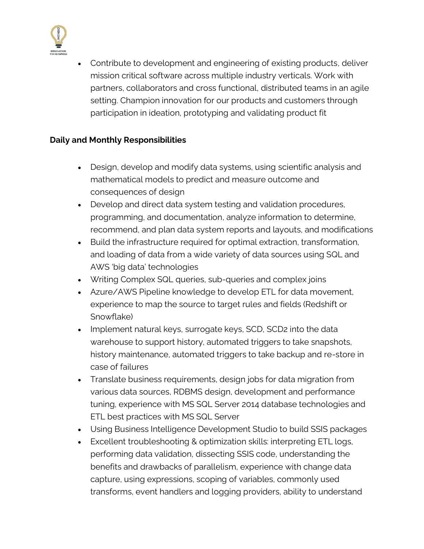

• Contribute to development and engineering of existing products, deliver mission critical software across multiple industry verticals. Work with partners, collaborators and cross functional, distributed teams in an agile setting. Champion innovation for our products and customers through participation in ideation, prototyping and validating product fit

### **Daily and Monthly Responsibilities**

- Design, develop and modify data systems, using scientific analysis and mathematical models to predict and measure outcome and consequences of design
- Develop and direct data system testing and validation procedures, programming, and documentation, analyze information to determine, recommend, and plan data system reports and layouts, and modifications
- Build the infrastructure required for optimal extraction, transformation, and loading of data from a wide variety of data sources using SQL and AWS 'big data' technologies
- Writing Complex SQL queries, sub-queries and complex joins
- Azure/AWS Pipeline knowledge to develop ETL for data movement, experience to map the source to target rules and fields (Redshift or Snowflake)
- Implement natural keys, surrogate keys, SCD, SCD2 into the data warehouse to support history, automated triggers to take snapshots, history maintenance, automated triggers to take backup and re-store in case of failures
- Translate business requirements, design jobs for data migration from various data sources, RDBMS design, development and performance tuning, experience with MS SQL Server 2014 database technologies and ETL best practices with MS SQL Server
- Using Business Intelligence Development Studio to build SSIS packages
- Excellent troubleshooting & optimization skills: interpreting ETL logs, performing data validation, dissecting SSIS code, understanding the benefits and drawbacks of parallelism, experience with change data capture, using expressions, scoping of variables, commonly used transforms, event handlers and logging providers, ability to understand